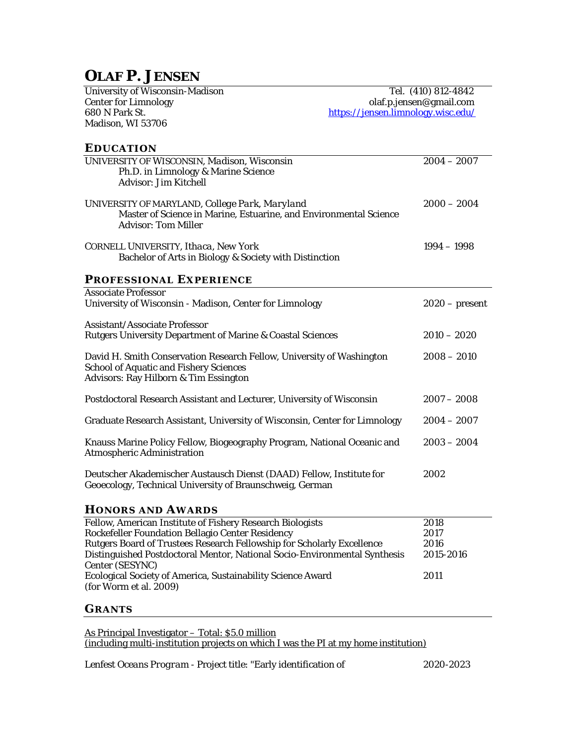# **OLAF P. JENSEN**

| <b>University of Wisconsin-Madison</b>                                                          | Tel. (410) 812-4842                |  |
|-------------------------------------------------------------------------------------------------|------------------------------------|--|
| <b>Center for Limnology</b>                                                                     | olaf.p.jensen@gmail.com            |  |
| 680 N Park St.                                                                                  | https://jensen.limnology.wisc.edu/ |  |
| Madison, WI 53706                                                                               |                                    |  |
| <b>EDUCATION</b>                                                                                |                                    |  |
| UNIVERSITY OF WISCONSIN, Madison, Wisconsin                                                     | $2004 - 2007$                      |  |
| Ph.D. in Limnology & Marine Science                                                             |                                    |  |
| <b>Advisor: Jim Kitchell</b>                                                                    |                                    |  |
| UNIVERSITY OF MARYLAND, College Park, Maryland                                                  | $2000 - 2004$                      |  |
| Master of Science in Marine, Estuarine, and Environmental Science<br><b>Advisor: Tom Miller</b> |                                    |  |
| CORNELL UNIVERSITY, Ithaca, New York                                                            | $1994 - 1998$                      |  |
| Bachelor of Arts in Biology & Society with Distinction                                          |                                    |  |
| <b>PROFESSIONAL EXPERIENCE</b>                                                                  |                                    |  |
| <b>Associate Professor</b>                                                                      |                                    |  |
| University of Wisconsin - Madison, Center for Limnology                                         | $2020$ – present                   |  |
| <b>Assistant/Associate Professor</b>                                                            |                                    |  |
| <b>Rutgers University Department of Marine &amp; Coastal Sciences</b>                           | $2010 - 2020$                      |  |
| David H. Smith Conservation Research Fellow, University of Washington                           | $2008 - 2010$                      |  |
| <b>School of Aquatic and Fishery Sciences</b>                                                   |                                    |  |
| <b>Advisors: Ray Hilborn &amp; Tim Essington</b>                                                |                                    |  |
| Postdoctoral Research Assistant and Lecturer, University of Wisconsin                           | $2007 - 2008$                      |  |
|                                                                                                 |                                    |  |
| Graduate Research Assistant, University of Wisconsin, Center for Limnology                      | $2004 - 2007$                      |  |
| Knauss Marine Policy Fellow, Biogeography Program, National Oceanic and                         | $2003 - 2004$                      |  |
| <b>Atmospheric Administration</b>                                                               |                                    |  |
| Deutscher Akademischer Austausch Dienst (DAAD) Fellow, Institute for                            | 2002                               |  |
| Geoecology, Technical University of Braunschweig, German                                        |                                    |  |
|                                                                                                 |                                    |  |

## **HONORS AND AWARDS**

| Fellow, American Institute of Fishery Research Biologists                 | 2018      |
|---------------------------------------------------------------------------|-----------|
| Rockefeller Foundation Bellagio Center Residency                          | 2017      |
| Rutgers Board of Trustees Research Fellowship for Scholarly Excellence    | 2016      |
| Distinguished Postdoctoral Mentor, National Socio-Environmental Synthesis | 2015-2016 |
| Center (SESYNC)                                                           |           |
| Ecological Society of America, Sustainability Science Award               | 2011      |
| (for Worm et al. 2009)                                                    |           |
|                                                                           |           |

# **GRANTS**

As Principal Investigator – Total: \$5.0 million (including multi-institution projects on which I was the PI at my home institution)

*Lenfest Oceans Program -* Project title: "Early identification of 2020-2023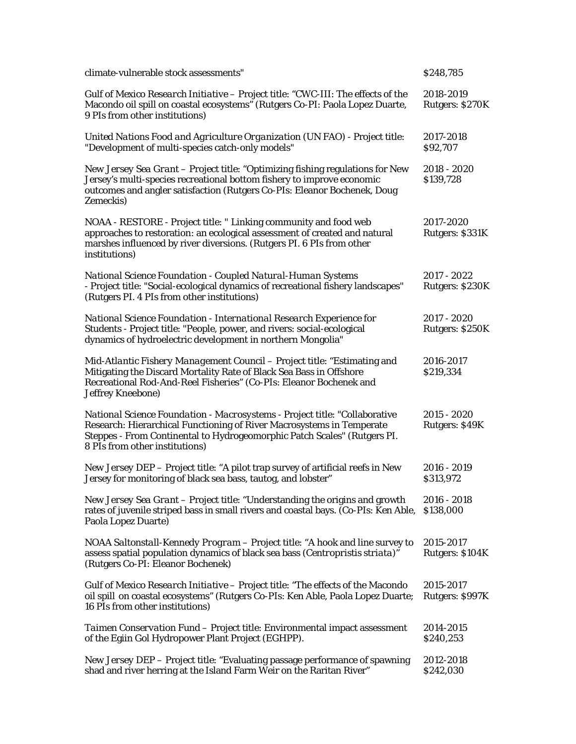| climate-vulnerable stock assessments"                                                                                                                                                                                                                             | \$248,785                               |
|-------------------------------------------------------------------------------------------------------------------------------------------------------------------------------------------------------------------------------------------------------------------|-----------------------------------------|
| Gulf of Mexico Research Initiative - Project title: "CWC-III: The effects of the<br>Macondo oil spill on coastal ecosystems" (Rutgers Co-PI: Paola Lopez Duarte,<br>9 PIs from other institutions)                                                                | 2018-2019<br>Rutgers: \$270K            |
| United Nations Food and Agriculture Organization (UN FAO) - Project title:<br>"Development of multi-species catch-only models"                                                                                                                                    | 2017-2018<br>\$92,707                   |
| New Jersey Sea Grant - Project title: "Optimizing fishing regulations for New<br>Jersey's multi-species recreational bottom fishery to improve economic<br>outcomes and angler satisfaction (Rutgers Co-PIs: Eleanor Bochenek, Doug<br>Zemeckis)                  | $2018 - 2020$<br>\$139,728              |
| NOAA - RESTORE - Project title: " Linking community and food web<br>approaches to restoration: an ecological assessment of created and natural<br>marshes influenced by river diversions. (Rutgers PI. 6 PIs from other<br>institutions)                          | 2017-2020<br>Rutgers: \$331K            |
| National Science Foundation - Coupled Natural-Human Systems<br>- Project title: "Social-ecological dynamics of recreational fishery landscapes"<br>(Rutgers PI. 4 PIs from other institutions)                                                                    | 2017 - 2022<br>Rutgers: \$230K          |
| National Science Foundation - International Research Experience for<br>Students - Project title: "People, power, and rivers: social-ecological<br>dynamics of hydroelectric development in northern Mongolia"                                                     | $2017 - 2020$<br><b>Rutgers: \$250K</b> |
| Mid-Atlantic Fishery Management Council - Project title: "Estimating and<br>Mitigating the Discard Mortality Rate of Black Sea Bass in Offshore<br>Recreational Rod-And-Reel Fisheries" (Co-PIs: Eleanor Bochenek and<br><b>Jeffrey Kneebone)</b>                 | 2016-2017<br>\$219,334                  |
| National Science Foundation - Macrosystems - Project title: "Collaborative<br>Research: Hierarchical Functioning of River Macrosystems in Temperate<br>Steppes - From Continental to Hydrogeomorphic Patch Scales" (Rutgers PI.<br>8 PIs from other institutions) | $2015 - 2020$<br>Rutgers: \$49K         |
| New Jersey DEP - Project title: "A pilot trap survey of artificial reefs in New<br>Jersey for monitoring of black sea bass, tautog, and lobster"                                                                                                                  | $2016 - 2019$<br>\$313,972              |
| New Jersey Sea Grant – Project title: "Understanding the origins and growth<br>rates of juvenile striped bass in small rivers and coastal bays. (Co-PIs: Ken Able,<br>Paola Lopez Duarte)                                                                         | $2016 - 2018$<br>\$138,000              |
| NOAA Saltonstall-Kennedy Program – Project title: "A hook and line survey to<br>assess spatial population dynamics of black sea bass (Centropristis striata)"<br>(Rutgers Co-PI: Eleanor Bochenek)                                                                | 2015-2017<br><b>Rutgers: \$104K</b>     |
| Gulf of Mexico Research Initiative – Project title: "The effects of the Macondo<br>oil spill on coastal ecosystems" (Rutgers Co-PIs: Ken Able, Paola Lopez Duarte;<br>16 PIs from other institutions)                                                             | 2015-2017<br>Rutgers: \$997K            |
| Taimen Conservation Fund - Project title: Environmental impact assessment<br>of the Egiin Gol Hydropower Plant Project (EGHPP).                                                                                                                                   | 2014-2015<br>\$240,253                  |
| New Jersey DEP - Project title: "Evaluating passage performance of spawning<br>shad and river herring at the Island Farm Weir on the Raritan River"                                                                                                               | 2012-2018<br>\$242,030                  |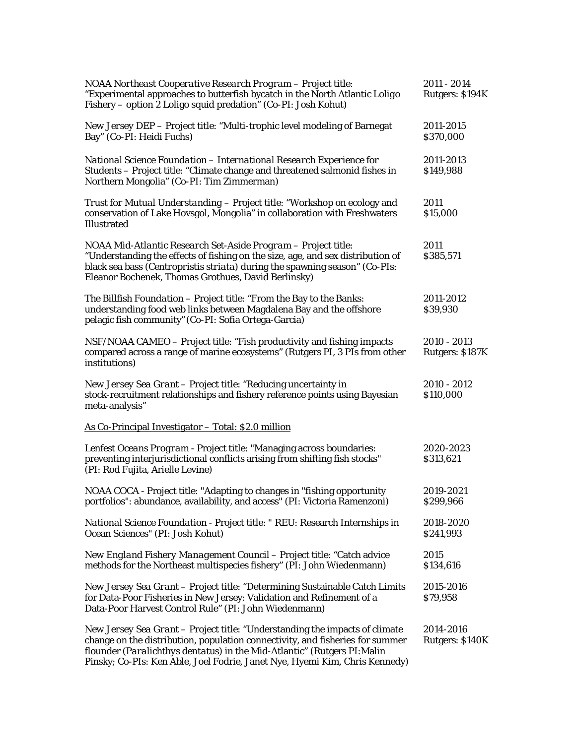| NOAA Northeast Cooperative Research Program – Project title:<br>"Experimental approaches to butterfish bycatch in the North Atlantic Loligo<br>Fishery - option 2 Loligo squid predation" (Co-PI: Josh Kohut)                                                                                                           | 2011 - 2014<br>Rutgers: \$194K |
|-------------------------------------------------------------------------------------------------------------------------------------------------------------------------------------------------------------------------------------------------------------------------------------------------------------------------|--------------------------------|
| New Jersey DEP - Project title: "Multi-trophic level modeling of Barnegat<br>Bay" (Co-PI: Heidi Fuchs)                                                                                                                                                                                                                  | 2011-2015<br>\$370,000         |
| National Science Foundation - International Research Experience for<br>Students - Project title: "Climate change and threatened salmonid fishes in<br>Northern Mongolia" (Co-PI: Tim Zimmerman)                                                                                                                         | 2011-2013<br>\$149,988         |
| Trust for Mutual Understanding - Project title: "Workshop on ecology and<br>conservation of Lake Hovsgol, Mongolia" in collaboration with Freshwaters<br>Illustrated                                                                                                                                                    | 2011<br>\$15,000               |
| NOAA Mid-Atlantic Research Set-Aside Program - Project title:<br>"Understanding the effects of fishing on the size, age, and sex distribution of<br>black sea bass (Centropristis striata) during the spawning season" (Co-PIs:<br>Eleanor Bochenek, Thomas Grothues, David Berlinsky)                                  | 2011<br>\$385,571              |
| The Billfish Foundation - Project title: "From the Bay to the Banks:<br>understanding food web links between Magdalena Bay and the offshore<br>pelagic fish community" (Co-PI: Sofia Ortega-Garcia)                                                                                                                     | 2011-2012<br>\$39,930          |
| NSF/NOAA CAMEO - Project title: "Fish productivity and fishing impacts<br>compared across a range of marine ecosystems" (Rutgers PI, 3 PIs from other<br>institutions)                                                                                                                                                  | 2010 - 2013<br>Rutgers: \$187K |
| New Jersey Sea Grant - Project title: "Reducing uncertainty in<br>stock-recruitment relationships and fishery reference points using Bayesian<br>meta-analysis"                                                                                                                                                         | 2010 - 2012<br>\$110,000       |
| As Co-Principal Investigator - Total: \$2.0 million                                                                                                                                                                                                                                                                     |                                |
| Lenfest Oceans Program - Project title: "Managing across boundaries:<br>preventing interjurisdictional conflicts arising from shifting fish stocks"<br>(PI: Rod Fujita, Arielle Levine)                                                                                                                                 | 2020-2023<br>\$313,621         |
| NOAA COCA - Project title: "Adapting to changes in "fishing opportunity<br>portfolios": abundance, availability, and access" (PI: Victoria Ramenzoni)                                                                                                                                                                   | 2019-2021<br>\$299,966         |
| National Science Foundation - Project title: " REU: Research Internships in<br>Ocean Sciences" (PI: Josh Kohut)                                                                                                                                                                                                         | 2018-2020<br>\$241,993         |
| New England Fishery Management Council - Project title: "Catch advice<br>methods for the Northeast multispecies fishery" (PI: John Wiedenmann)                                                                                                                                                                          | 2015<br>\$134,616              |
| New Jersey Sea Grant - Project title: "Determining Sustainable Catch Limits<br>for Data-Poor Fisheries in New Jersey: Validation and Refinement of a<br>Data-Poor Harvest Control Rule" (PI: John Wiedenmann)                                                                                                           | 2015-2016<br>\$79,958          |
| New Jersey Sea Grant - Project title: "Understanding the impacts of climate<br>change on the distribution, population connectivity, and fisheries for summer<br>flounder (Paralichthys dentatus) in the Mid-Atlantic" (Rutgers PI: Malin<br>Pinsky; Co-PIs: Ken Able, Joel Fodrie, Janet Nye, Hyemi Kim, Chris Kennedy) | 2014-2016<br>Rutgers: \$140K   |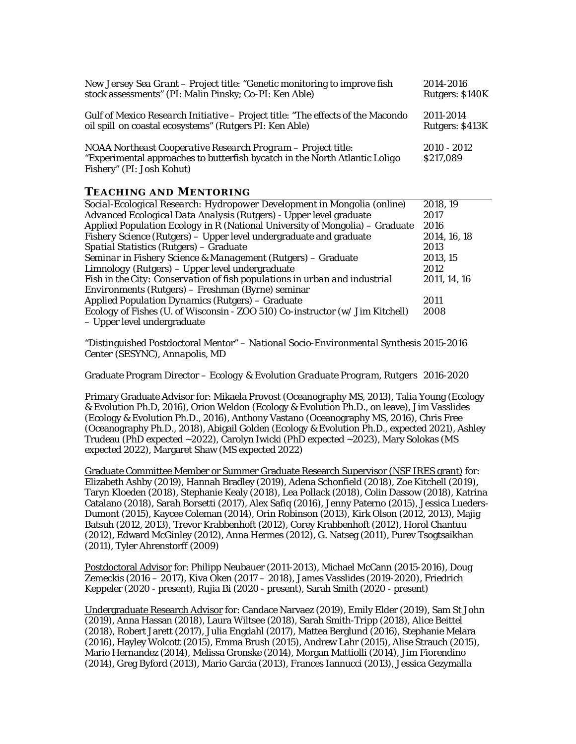| <i>New Jersey Sea Grant</i> – Project title: "Genetic monitoring to improve fish                                                                                         | 2014-2016                  |
|--------------------------------------------------------------------------------------------------------------------------------------------------------------------------|----------------------------|
| stock assessments" (PI: Malin Pinsky; Co-PI: Ken Able)                                                                                                                   | Rutgers: \$140K            |
| Gulf of Mexico Research Initiative – Project title: "The effects of the Macondo                                                                                          | 2011-2014                  |
| oil spill on coastal ecosystems" (Rutgers PI: Ken Able)                                                                                                                  | Rutgers: \$413K            |
| NOAA Northeast Cooperative Research Program - Project title:<br>"Experimental approaches to butterfish bycatch in the North Atlantic Loligo<br>Fishery" (PI: Josh Kohut) | $2010 - 2012$<br>\$217,089 |

## **TEACHING AND MENTORING**

| Social-Ecological Research: Hydropower Development in Mongolia (online)              | 2018, 19     |
|--------------------------------------------------------------------------------------|--------------|
| Advanced Ecological Data Analysis (Rutgers) - Upper level graduate                   | 2017         |
| Applied Population Ecology in R (National University of Mongolia) – Graduate         | 2016         |
| Fishery Science (Rutgers) – Upper level undergraduate and graduate                   | 2014, 16, 18 |
| Spatial Statistics (Rutgers) - Graduate                                              | 2013         |
| Seminar in Fishery Science & Management (Rutgers) - Graduate                         | 2013, 15     |
| Limnology (Rutgers) – Upper level undergraduate                                      | 2012         |
| Fish in the City: Conservation of fish populations in urban and industrial           | 2011, 14, 16 |
| Environments (Rutgers) – Freshman (Byrne) seminar                                    |              |
| <b>Applied Population Dynamics (Rutgers) – Graduate</b>                              | 2011         |
| <i>Ecology of Fishes</i> (U. of Wisconsin - ZOO 510) Co-instructor (w/ Jim Kitchell) | 2008         |
| - Upper level undergraduate                                                          |              |

"Distinguished Postdoctoral Mentor" – *National Socio-Environmental Synthesis* 2015-2016 *Center (SESYNC), Annapolis, MD*

Graduate Program Director – *Ecology & Evolution Graduate Program, Rutgers* 2016-2020

Primary Graduate Advisor for: Mikaela Provost (Oceanography MS, 2013), Talia Young (Ecology & Evolution Ph.D, 2016), Orion Weldon (Ecology & Evolution Ph.D., on leave), Jim Vasslides (Ecology & Evolution Ph.D., 2016), Anthony Vastano (Oceanography MS, 2016), Chris Free (Oceanography Ph.D., 2018), Abigail Golden (Ecology & Evolution Ph.D., expected 2021), Ashley Trudeau (PhD expected ~2022), Carolyn Iwicki (PhD expected ~2023), Mary Solokas (MS expected 2022), Margaret Shaw (MS expected 2022)

Graduate Committee Member or Summer Graduate Research Supervisor (NSF IRES grant) for: Elizabeth Ashby (2019), Hannah Bradley (2019), Adena Schonfield (2018), Zoe Kitchell (2019), Taryn Kloeden (2018), Stephanie Kealy (2018), Lea Pollack (2018), Colin Dassow (2018), Katrina Catalano (2018), Sarah Borsetti (2017), Alex Safiq (2016), Jenny Paterno (2015), Jessica Lueders-Dumont (2015), Kaycee Coleman (2014), Orin Robinson (2013), Kirk Olson (2012, 2013), Majig Batsuh (2012, 2013), Trevor Krabbenhoft (2012), Corey Krabbenhoft (2012), Horol Chantuu (2012), Edward McGinley (2012), Anna Hermes (2012), G. Natseg (2011), Purev Tsogtsaikhan (2011), Tyler Ahrenstorff (2009)

Postdoctoral Advisor for: Philipp Neubauer (2011-2013), Michael McCann (2015-2016), Doug Zemeckis (2016 – 2017), Kiva Oken (2017 – 2018), James Vasslides (2019-2020), Friedrich Keppeler (2020 - present), Rujia Bi (2020 - present), Sarah Smith (2020 - present)

Undergraduate Research Advisor for: Candace Narvaez (2019), Emily Elder (2019), Sam St John (2019), Anna Hassan (2018), Laura Wiltsee (2018), Sarah Smith-Tripp (2018), Alice Beittel (2018), Robert Jarett (2017), Julia Engdahl (2017), Mattea Berglund (2016), Stephanie Melara (2016), Hayley Wolcott (2015), Emma Brush (2015), Andrew Lahr (2015), Alise Strauch (2015), Mario Hernandez (2014), Melissa Gronske (2014), Morgan Mattiolli (2014), Jim Fiorendino (2014), Greg Byford (2013), Mario Garcia (2013), Frances Iannucci (2013), Jessica Gezymalla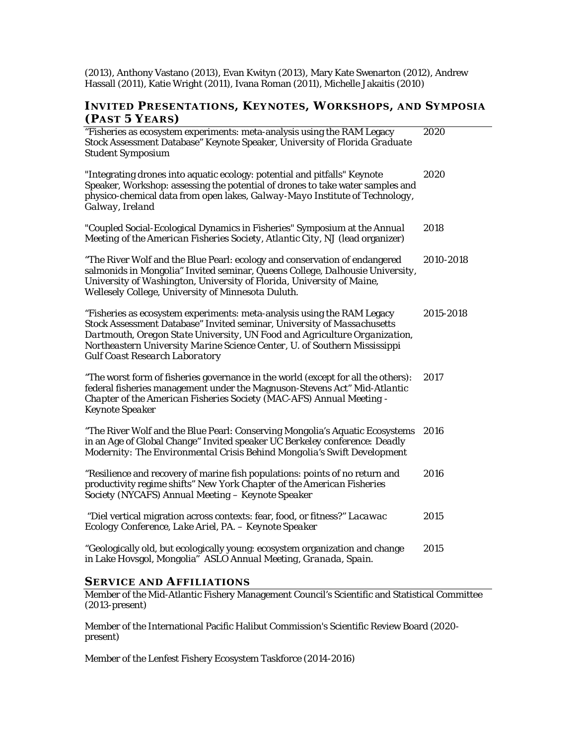(2013), Anthony Vastano (2013), Evan Kwityn (2013), Mary Kate Swenarton (2012), Andrew Hassall (2011), Katie Wright (2011), Ivana Roman (2011), Michelle Jakaitis (2010)

# **INVITED PRESENTATIONS, KEYNOTES, WORKSHOPS, AND SYMPOSIA (PAST 5 YEARS)**

| "Fisheries as ecosystem experiments: meta-analysis using the RAM Legacy<br>Stock Assessment Database" Keynote Speaker, University of Florida Graduate<br><b>Student Symposium</b>                                                                                                                                                                     | 2020      |
|-------------------------------------------------------------------------------------------------------------------------------------------------------------------------------------------------------------------------------------------------------------------------------------------------------------------------------------------------------|-----------|
| "Integrating drones into aquatic ecology: potential and pitfalls" Keynote<br>Speaker, Workshop: assessing the potential of drones to take water samples and<br>physico-chemical data from open lakes, Galway-Mayo Institute of Technology,<br>Galway, Ireland                                                                                         | 2020      |
| "Coupled Social-Ecological Dynamics in Fisheries" Symposium at the Annual<br>Meeting of the American Fisheries Society, Atlantic City, NJ (lead organizer)                                                                                                                                                                                            | 2018      |
| "The River Wolf and the Blue Pearl: ecology and conservation of endangered<br>salmonids in Mongolia" Invited seminar, Queens College, Dalhousie University,<br>University of Washington, University of Florida, University of Maine,<br>Wellesely College, University of Minnesota Duluth.                                                            | 2010-2018 |
| "Fisheries as ecosystem experiments: meta-analysis using the RAM Legacy<br>Stock Assessment Database" Invited seminar, University of Massachusetts<br>Dartmouth, Oregon State University, UN Food and Agriculture Organization,<br>Northeastern University Marine Science Center, U. of Southern Mississippi<br><b>Gulf Coast Research Laboratory</b> | 2015-2018 |
| "The worst form of fisheries governance in the world (except for all the others):<br>federal fisheries management under the Magnuson-Stevens Act" Mid-Atlantic<br>Chapter of the American Fisheries Society (MAC-AFS) Annual Meeting -<br><b>Keynote Speaker</b>                                                                                      | 2017      |
| "The River Wolf and the Blue Pearl: Conserving Mongolia's Aquatic Ecosystems<br>in an Age of Global Change" Invited speaker UC Berkeley conference: Deadly<br>Modernity: The Environmental Crisis Behind Mongolia's Swift Development                                                                                                                 | 2016      |
| "Resilience and recovery of marine fish populations: points of no return and<br>productivity regime shifts" New York Chapter of the American Fisheries<br>Society (NYCAFS) Annual Meeting - Keynote Speaker                                                                                                                                           | 2016      |
| "Diel vertical migration across contexts: fear, food, or fitness?" Lacawac<br>Ecology Conference, Lake Ariel, PA. - Keynote Speaker                                                                                                                                                                                                                   | 2015      |
| "Geologically old, but ecologically young: ecosystem organization and change<br>in Lake Hovsgol, Mongolia" ASLO Annual Meeting, Granada, Spain.                                                                                                                                                                                                       | 2015      |
|                                                                                                                                                                                                                                                                                                                                                       |           |

### **SERVICE AND AFFILIATIONS**

Member of the Mid-Atlantic Fishery Management Council's Scientific and Statistical Committee (2013-present)

Member of the International Pacific Halibut Commission's Scientific Review Board (2020 present)

Member of the Lenfest Fishery Ecosystem Taskforce (2014-2016)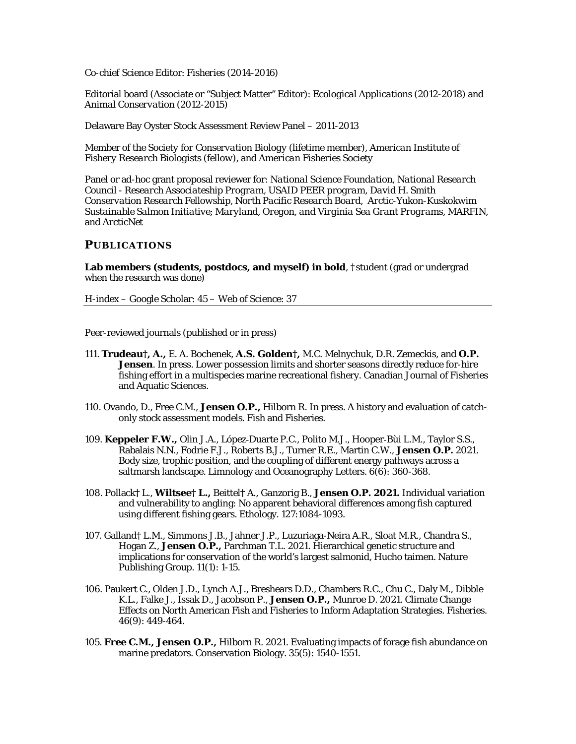Co-chief Science Editor: *Fisheries* (2014-2016)

Editorial board (Associate or "Subject Matter" Editor): *Ecological Applications* (2012-2018) and *Animal Conservation* (2012-2015)

Delaware Bay Oyster Stock Assessment Review Panel – 2011-2013

Member of the *Society for Conservation Biology* (lifetime member), *American Institute of Fishery Research Biologists (fellow)*, and *American Fisheries Society*

Panel or ad-hoc grant proposal reviewer for: *National Science Foundation, National Research Council - Research Associateship Program, USAID PEER program, David H. Smith Conservation Research Fellowship, North Pacific Research Board*, *Arctic-Yukon-Kuskokwim Sustainable Salmon Initiative*; *Maryland, Oregon, and Virginia Sea Grant Programs*, *MARFIN*, and *ArcticNet*

### **PUBLICATIONS**

**Lab members (students, postdocs, and myself) in bold**, †student (grad or undergrad when the research was done)

H-index – Google Scholar: 45 – Web of Science: 37

Peer-reviewed journals (published or in press)

- 111. **Trudeau†, A.,** E. A. Bochenek, **A.S. Golden†,** M.C. Melnychuk, D.R. Zemeckis, and **O.P.**  Jensen. In press. Lower possession limits and shorter seasons directly reduce for-hire fishing effort in a multispecies marine recreational fishery. Canadian Journal of Fisheries and Aquatic Sciences.
- 110. Ovando, D., Free C.M., **Jensen O.P.,** Hilborn R. In press. A history and evaluation of catchonly stock assessment models. Fish and Fisheries.
- 109. **Keppeler F.W.,** Olin J.A., López‐Duarte P.C., Polito M.J., Hooper‐Bùi L.M., Taylor S.S., Rabalais N.N., Fodrie F.J., Roberts B.J., Turner R.E., Martin C.W., **Jensen O.P.** 2021. Body size, trophic position, and the coupling of different energy pathways across a saltmarsh landscape. Limnology and Oceanography Letters. 6(6): 360-368.
- 108. Pollack**†** L., **Wiltsee† L.,** Beittel**†** A., Ganzorig B., **Jensen O.P. 2021.** Individual variation and vulnerability to angling: No apparent behavioral differences among fish captured using different fishing gears. Ethology. 127:1084-1093.
- 107. Galland† L.M., Simmons J.B., Jahner J.P., Luzuriaga-Neira A.R., Sloat M.R., Chandra S., Hogan Z., **Jensen O.P.,** Parchman T.L. 2021. Hierarchical genetic structure and implications for conservation of the world's largest salmonid, Hucho taimen. Nature Publishing Group. 11(1): 1-15.
- 106. Paukert C., Olden J.D., Lynch A.J., Breshears D.D., Chambers R.C., Chu C., Daly M., Dibble K.L., Falke J., Issak D., Jacobson P., **Jensen O.P.,** Munroe D. 2021. Climate Change Effects on North American Fish and Fisheries to Inform Adaptation Strategies. Fisheries. 46(9): 449-464.
- 105. **Free C.M., Jensen O.P.,** Hilborn R. 2021. Evaluating impacts of forage fish abundance on marine predators. Conservation Biology. 35(5): 1540-1551.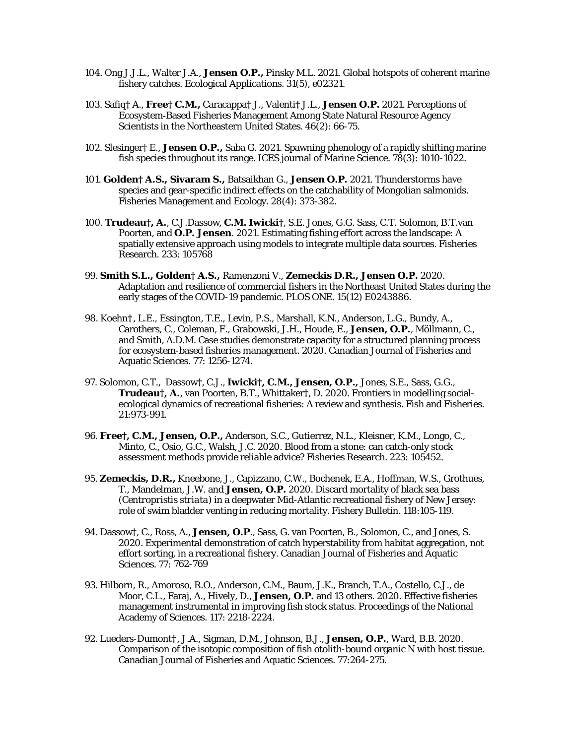- 104. Ong J.J.L., Walter J.A., **Jensen O.P.,** Pinsky M.L. 2021. Global hotspots of coherent marine fishery catches. Ecological Applications. 31(5), e02321.
- 103. Safiq**†** A., **Free† C.M.,** Caracappa**†** J., Valenti**†** J.L., **Jensen O.P.** 2021. Perceptions of Ecosystem‐Based Fisheries Management Among State Natural Resource Agency Scientists in the Northeastern United States. 46(2): 66-75.
- 102. Slesinger† E., **Jensen O.P.,** Saba G. 2021. Spawning phenology of a rapidly shifting marine fish species throughout its range. ICES journal of Marine Science. 78(3): 1010-1022.
- 101. **Golden† A.S., Sivaram S.,** Batsaikhan G., **Jensen O.P.** 2021. Thunderstorms have species and gear-specific indirect effects on the catchability of Mongolian salmonids. Fisheries Management and Ecology. 28(4): 373-382.
- 100. **Trudeau†, A.**, C.J.Dassow, **C.M. Iwicki†**, S.E. Jones, G.G. Sass, C.T. Solomon, B.T.van Poorten, and **O.P. Jensen**. 2021. Estimating fishing effort across the landscape: A spatially extensive approach using models to integrate multiple data sources. Fisheries Research. 233: 105768
- 99. **Smith S.L., Golden† A.S.,** Ramenzoni V., **Zemeckis D.R., Jensen O.P.** 2020. Adaptation and resilience of commercial fishers in the Northeast United States during the early stages of the COVID-19 pandemic. PLOS ONE. 15(12) E0243886.
- 98. Koehn**†**, L.E., Essington, T.E., Levin, P.S., Marshall, K.N., Anderson, L.G., Bundy, A., Carothers, C., Coleman, F., Grabowski, J.H., Houde, E., **Jensen, O.P.**, Möllmann, C., and Smith, A.D.M. Case studies demonstrate capacity for a structured planning process for ecosystem-based fisheries management. 2020. Canadian Journal of Fisheries and Aquatic Sciences. 77: 1256-1274.
- 97. Solomon, C.T., Dassow**†**, C.J., **Iwicki†, C.M., Jensen, O.P.,** Jones, S.E., Sass, G.G., **Trudeau†, A.**, van Poorten, B.T., Whittaker**†**, D. 2020. Frontiers in modelling socialecological dynamics of recreational fisheries: A review and synthesis. Fish and Fisheries. 21:973-991.
- 96. **Free†, C.M., Jensen, O.P.,** Anderson, S.C., Gutierrez, N.L., Kleisner, K.M., Longo, C., Minto, C., Osio, G.C., Walsh, J.C. 2020. Blood from a stone: can catch-only stock assessment methods provide reliable advice? Fisheries Research. 223: 105452.
- 95. **Zemeckis, D.R.,** Kneebone, J., Capizzano, C.W., Bochenek, E.A., Hoffman, W.S., Grothues, T., Mandelman, J.W. and **Jensen, O.P.** 2020. Discard mortality of black sea bass (*Centropristis striata*) in a deepwater Mid-Atlantic recreational fishery of New Jersey: role of swim bladder venting in reducing mortality. Fishery Bulletin. 118:105-119.
- 94. Dassow†, C., Ross, A., **Jensen, O.P**., Sass, G. van Poorten, B., Solomon, C., and Jones, S. 2020. Experimental demonstration of catch hyperstability from habitat aggregation, not effort sorting, in a recreational fishery. Canadian Journal of Fisheries and Aquatic Sciences. 77: 762-769
- 93. Hilborn, R., Amoroso, R.O., Anderson, C.M., Baum, J.K., Branch, T.A., Costello, C.J., de Moor, C.L., Faraj, A., Hively, D., **Jensen, O.P.** and 13 others. 2020. Effective fisheries management instrumental in improving fish stock status. Proceedings of the National Academy of Sciences. 117: 2218-2224.
- 92. Lueders-Dumont**†**, J.A., Sigman, D.M., Johnson, B.J., **Jensen, O.P.**, Ward, B.B. 2020. Comparison of the isotopic composition of fish otolith-bound organic N with host tissue. Canadian Journal of Fisheries and Aquatic Sciences. 77:264-275.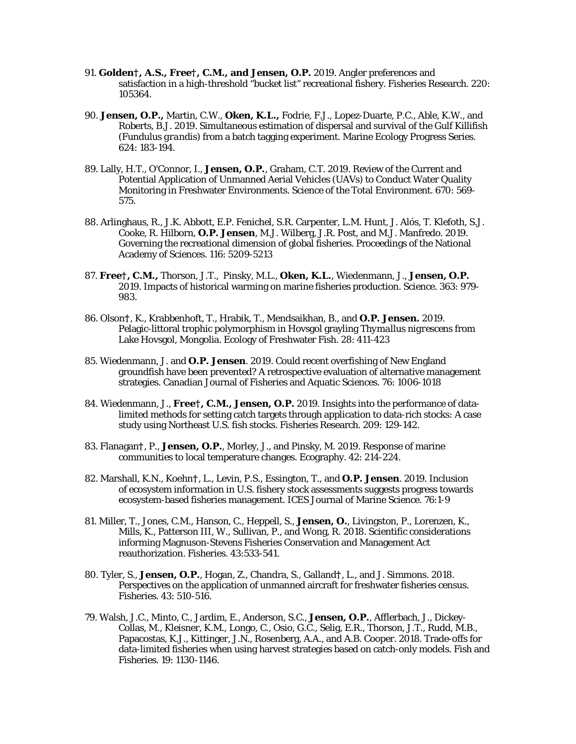- 91. **Golden†, A.S., Free†, C.M., and Jensen, O.P.** 2019. Angler preferences and satisfaction in a high-threshold "bucket list" recreational fishery. Fisheries Research. 220: 105364.
- 90. **Jensen, O.P.,** Martin, C.W., **Oken, K.L.,** Fodrie, F.J., Lopez-Duarte, P.C., Able, K.W., and Roberts, B.J. 2019. Simultaneous estimation of dispersal and survival of the Gulf Killifish (*Fundulus grandis*) from a batch tagging experiment. Marine Ecology Progress Series. 624: 183-194.
- 89. Lally, H.T., O'Connor, I., **Jensen, O.P.**, Graham, C.T. 2019*.* Review of the Current and Potential Application of Unmanned Aerial Vehicles (UAVs) to Conduct Water Quality Monitoring in Freshwater Environments. Science of the Total Environment. 670: 569- 575.
- 88. Arlinghaus, R., J.K. Abbott, E.P. Fenichel, S.R. Carpenter, L.M. Hunt, J. Alós, T. Klefoth, S.J. Cooke, R. Hilborn, **O.P. Jensen**, M.J. Wilberg, J.R. Post, and M.J. Manfredo. 2019. Governing the recreational dimension of global fisheries. Proceedings of the National Academy of Sciences. 116: 5209-5213
- 87. **Free†, C.M.,** Thorson, J.T., Pinsky, M.L., **Oken, K.L.**, Wiedenmann, J., **Jensen, O.P.** 2019*.* Impacts of historical warming on marine fisheries production. Science. 363: 979- 983.
- 86. Olson**†**, K., Krabbenhoft, T., Hrabik, T., Mendsaikhan, B., and **O.P. Jensen.** 2019*.* Pelagic-littoral trophic polymorphism in Hovsgol grayling *Thymallus nigrescens* from Lake Hovsgol, Mongolia. Ecology of Freshwater Fish. 28: 411-423
- 85. Wiedenmann, J. and **O.P. Jensen**. 2019. Could recent overfishing of New England groundfish have been prevented? A retrospective evaluation of alternative management strategies. Canadian Journal of Fisheries and Aquatic Sciences. 76: 1006-1018
- 84. Wiedenmann, J., **Free†, C.M., Jensen, O.P.** 2019. Insights into the performance of datalimited methods for setting catch targets through application to data-rich stocks: A case study using Northeast U.S. fish stocks. Fisheries Research. 209: 129-142.
- 83. Flanagan**†**, P., **Jensen, O.P.**, Morley, J., and Pinsky, M. 2019. Response of marine communities to local temperature changes. Ecography. 42: 214-224.
- 82. Marshall, K.N., Koehn**†**, L., Levin, P.S., Essington, T., and **O.P. Jensen**. 2019. Inclusion of ecosystem information in U.S. fishery stock assessments suggests progress towards ecosystem-based fisheries management. ICES Journal of Marine Science. 76:1-9
- 81. Miller, T., Jones, C.M., Hanson, C., Heppell, S., **Jensen, O.**, Livingston, P., Lorenzen, K., Mills, K., Patterson III, W., Sullivan, P., and Wong, R. 2018. Scientific considerations informing Magnuson-Stevens Fisheries Conservation and Management Act reauthorization. Fisheries. 43:533-541.
- 80. Tyler, S., **Jensen, O.P.**, Hogan, Z., Chandra, S., Galland**†**, L., and J. Simmons. 2018. Perspectives on the application of unmanned aircraft for freshwater fisheries census. Fisheries. 43: 510-516.
- 79. Walsh, J.C., Minto, C., Jardim, E., Anderson, S.C., **Jensen, O.P.**, Afflerbach, J., Dickey-Collas, M., Kleisner, K.M., Longo, C., Osio, G.C., Selig, E.R., Thorson, J.T., Rudd, M.B., Papacostas, K.J., Kittinger, J.N., Rosenberg, A.A., and A.B. Cooper. 2018. Trade-offs for data-limited fisheries when using harvest strategies based on catch-only models. Fish and Fisheries. 19: 1130-1146.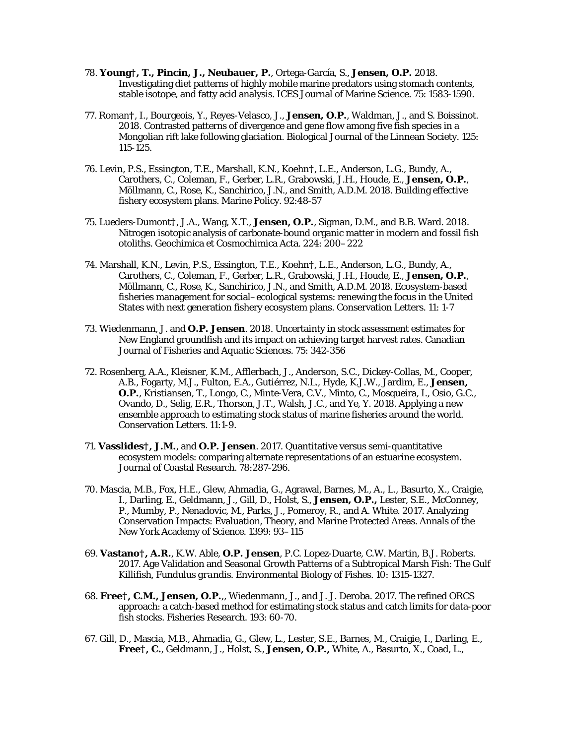- 78. **Young†, T., Pincin, J., Neubauer, P.**, Ortega-García, S., **Jensen, O.P.** 2018. Investigating diet patterns of highly mobile marine predators using stomach contents, stable isotope, and fatty acid analysis. ICES Journal of Marine Science. 75: 1583-1590.
- 77. Roman**†**, I., Bourgeois, Y., Reyes-Velasco, J., **Jensen, O.P.**, Waldman, J., and S. Boissinot. 2018. Contrasted patterns of divergence and gene flow among five fish species in a Mongolian rift lake following glaciation. Biological Journal of the Linnean Society. 125: 115-125.
- 76. Levin, P.S., Essington, T.E., Marshall, K.N., Koehn**†**, L.E., Anderson, L.G., Bundy, A., Carothers, C., Coleman, F., Gerber, L.R., Grabowski, J.H., Houde, E., **Jensen, O.P.**, Möllmann, C., Rose, K., Sanchirico, J.N., and Smith, A.D.M. 2018. Building effective fishery ecosystem plans. Marine Policy. 92:48-57
- 75. Lueders-Dumont**†**, J.A., Wang, X.T., **Jensen, O.P.**, Sigman, D.M., and B.B. Ward. 2018. Nitrogen isotopic analysis of carbonate-bound organic matter in modern and fossil fish otoliths. Geochimica et Cosmochimica Acta. 224: 200–222
- 74. Marshall, K.N., Levin, P.S., Essington, T.E., Koehn**†**, L.E., Anderson, L.G., Bundy, A., Carothers, C., Coleman, F., Gerber, L.R., Grabowski, J.H., Houde, E., **Jensen, O.P.**, Möllmann, C., Rose, K., Sanchirico, J.N., and Smith, A.D.M. 2018. Ecosystem-based fisheries management for social–ecological systems: renewing the focus in the United States with next generation fishery ecosystem plans. Conservation Letters. 11: 1-7
- 73. Wiedenmann, J. and **O.P. Jensen**. 2018. Uncertainty in stock assessment estimates for New England groundfish and its impact on achieving target harvest rates. Canadian Journal of Fisheries and Aquatic Sciences. 75: 342-356
- 72. Rosenberg, A.A., Kleisner, K.M., Afflerbach, J., Anderson, S.C., Dickey-Collas, M., Cooper, A.B., Fogarty, M.J., Fulton, E.A., Gutiérrez, N.L., Hyde, K.J.W., Jardim, E., **Jensen, O.P.**, Kristiansen, T., Longo, C., Minte-Vera, C.V., Minto, C., Mosqueira, I., Osio, G.C., Ovando, D., Selig, E.R., Thorson, J.T., Walsh, J.C., and Ye, Y. 2018. Applying a new ensemble approach to estimating stock status of marine fisheries around the world. Conservation Letters. 11:1-9.
- 71. **Vasslides†, J.M.**, and **O.P. Jensen**. 2017. Quantitative versus semi-quantitative ecosystem models: comparing alternate representations of an estuarine ecosystem. Journal of Coastal Research. 78:287-296.
- 70. Mascia, M.B., Fox, H.E., Glew, Ahmadia, G., Agrawal, Barnes, M., A., L., Basurto, X., Craigie, I., Darling, E., Geldmann, J., Gill, D., Holst, S., **Jensen, O.P.,** Lester, S.E., McConney, P., Mumby, P., Nenadovic, M., Parks, J., Pomeroy, R., and A. White. 2017. Analyzing Conservation Impacts: Evaluation, Theory, and Marine Protected Areas. Annals of the New York Academy of Science. 1399: 93–115
- 69. **Vastano†, A.R.**, K.W. Able, **O.P. Jensen**, P.C. Lopez-Duarte, C.W. Martin, B.J. Roberts. 2017. Age Validation and Seasonal Growth Patterns of a Subtropical Marsh Fish: The Gulf Killifish, *Fundulus grandis*. Environmental Biology of Fishes. 10: 1315-1327.
- 68. **Free†, C.M., Jensen, O.P.**,, Wiedenmann, J., and J. J. Deroba. 2017. The refined ORCS approach: a catch-based method for estimating stock status and catch limits for data-poor fish stocks. Fisheries Research. 193: 60-70.
- 67. Gill, D., Mascia, M.B., Ahmadia, G., Glew, L., Lester, S.E., Barnes, M., Craigie, I., Darling, E., **Free†, C.**, Geldmann, J., Holst, S., **Jensen, O.P.,** White, A., Basurto, X., Coad, L.,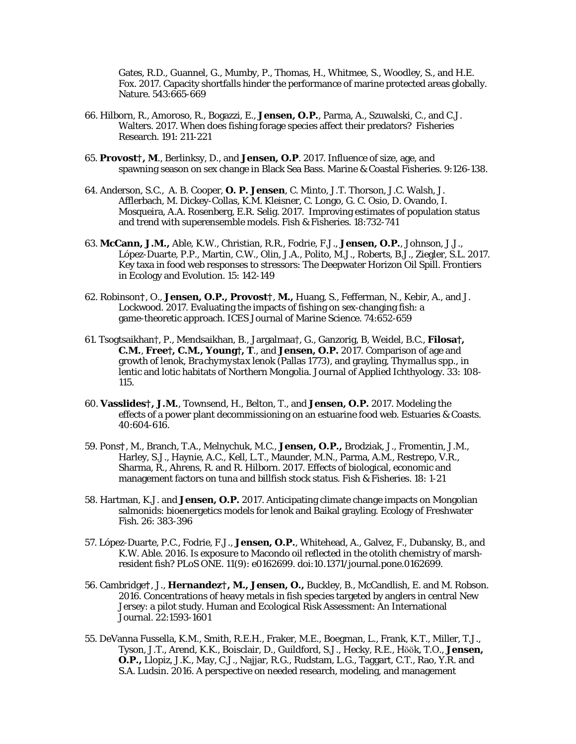Gates, R.D., Guannel, G., Mumby, P., Thomas, H., Whitmee, S., Woodley, S., and H.E. Fox. 2017. Capacity shortfalls hinder the performance of marine protected areas globally. Nature. 543:665-669

- 66. Hilborn, R., Amoroso, R., Bogazzi, E., **Jensen, O.P.**, Parma, A., Szuwalski, C., and C.J. Walters. 2017. When does fishing forage species affect their predators? Fisheries Research. 191: 211-221
- 65. **Provost†, M**., Berlinksy, D., and **Jensen, O.P**. 2017. Influence of size, age, and spawning season on sex change in Black Sea Bass. Marine & Coastal Fisheries. 9:126-138.
- 64. Anderson, S.C., A. B. Cooper, **O. P. Jensen**, C. Minto, J.T. Thorson, J.C. Walsh, J. Afflerbach, M. Dickey-Collas, K.M. Kleisner, C. Longo, G. C. Osio, D. Ovando, I. Mosqueira, A.A. Rosenberg, E.R. Selig. 2017. Improving estimates of population status and trend with superensemble models. Fish & Fisheries. 18:732-741
- 63. **McCann, J.M.,** Able, K.W., Christian, R.R., Fodrie, F.J., **Jensen, O.P.**, Johnson, J.J., López-Duarte, P.P., Martin, C.W., Olin, J.A., Polito, M.J., Roberts, B.J., Ziegler, S.L. 2017*.* Key taxa in food web responses to stressors: The Deepwater Horizon Oil Spill. Frontiers in Ecology and Evolution. 15: 142-149
- 62. Robinson**†**, O., **Jensen, O.P., Provost†**, **M.,** Huang, S., Fefferman, N., Kebir, A., and J. Lockwood. 2017. Evaluating the impacts of fishing on sex-changing fish: a game-theoretic approach. ICES Journal of Marine Science. 74:652-659
- 61. Tsogtsaikhan†, P., Mendsaikhan, B., Jargalmaa†, G., Ganzorig, B, Weidel, B.C., **Filosa†, C.M.**, **Free†, C.M., Young†, T**., and **Jensen, O.P.** 2017. Comparison of age and growth of lenok, *Brachymystax lenok* (Pallas 1773), and grayling, *Thymallus spp.*, in lentic and lotic habitats of Northern Mongolia. Journal of Applied Ichthyology. 33: 108- 115.
- 60. **Vasslides†, J.M.**, Townsend, H., Belton, T., and **Jensen, O.P.** 2017. Modeling the effects of a power plant decommissioning on an estuarine food web. Estuaries & Coasts. 40:604-616.
- 59. Pons**†**, M., Branch, T.A., Melnychuk, M.C., **Jensen, O.P.,** Brodziak, J., Fromentin, J.M., Harley, S.J., Haynie, A.C., Kell, L.T., Maunder, M.N., Parma, A.M., Restrepo, V.R., Sharma, R., Ahrens, R. and R. Hilborn. 2017. Effects of biological, economic and management factors on tuna and billfish stock status. Fish & Fisheries. 18: 1-21
- 58. Hartman, K.J. and **Jensen, O.P.** 2017. Anticipating climate change impacts on Mongolian salmonids: bioenergetics models for lenok and Baikal grayling. Ecology of Freshwater Fish. 26: 383-396
- 57. López-Duarte, P.C., Fodrie, F.J., **Jensen, O.P.**, Whitehead, A., Galvez, F., Dubansky, B., and K.W. Able. 2016. Is exposure to Macondo oil reflected in the otolith chemistry of marshresident fish? PLoS ONE. 11(9): e0162699. doi:10.1371/journal.pone.0162699.
- 56. Cambridge**†**, J., **Hernandez†, M., Jensen, O.,** Buckley, B., McCandlish, E. and M. Robson. 2016*.* Concentrations of heavy metals in fish species targeted by anglers in central New Jersey: a pilot study. Human and Ecological Risk Assessment: An International Journal. 22:1593-1601
- 55. DeVanna Fussella, K.M., Smith, R.E.H., Fraker, M.E., Boegman, L., Frank, K.T., Miller, T.J., Tyson, J.T., Arend, K.K., Boisclair, D., Guildford, S.J., Hecky, R.E., Hӧӧk, T.O., **Jensen, O.P.,** Llopiz, J.K., May, C.J., Najjar, R.G., Rudstam, L.G., Taggart, C.T., Rao, Y.R. and S.A. Ludsin. 2016. A perspective on needed research, modeling, and management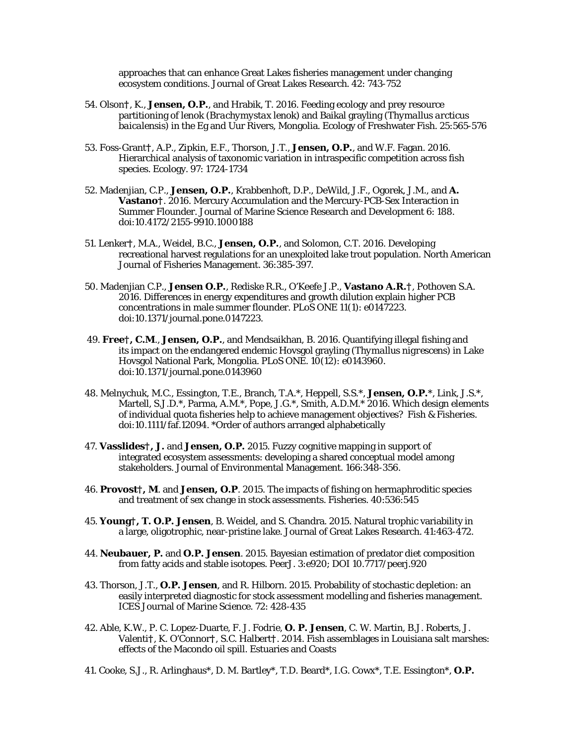approaches that can enhance Great Lakes fisheries management under changing ecosystem conditions. Journal of Great Lakes Research. 42: 743-752

- 54. Olson**†**, K., **Jensen, O.P.**, and Hrabik, T. 2016. Feeding ecology and prey resource partitioning of lenok (*Brachymystax lenok*) and Baikal grayling (*Thymallus arcticus baicalensis*) in the Eg and Uur Rivers, Mongolia. Ecology of Freshwater Fish. 25:565-576
- 53. Foss-Grant**†**, A.P., Zipkin, E.F., Thorson, J.T., **Jensen, O.P.**, and W.F. Fagan. 2016. Hierarchical analysis of taxonomic variation in intraspecific competition across fish species. Ecology. 97: 1724-1734
- 52. Madenjian, C.P., **Jensen, O.P.**, Krabbenhoft, D.P., DeWild, J.F., Ogorek, J.M., and **A. Vastano†**. 2016. Mercury Accumulation and the Mercury-PCB-Sex Interaction in Summer Flounder. Journal of Marine Science Research and Development 6: 188. doi:10.4172/2155-9910.1000188
- 51. Lenker**†**, M.A., Weidel, B.C., **Jensen, O.P.**, and Solomon, C.T. 2016. Developing recreational harvest regulations for an unexploited lake trout population. North American Journal of Fisheries Management. 36:385-397.
- 50. Madenjian C.P., **Jensen O.P.**, Rediske R.R., O'Keefe J.P., **Vastano A.R.†**, Pothoven S.A. 2016. Differences in energy expenditures and growth dilution explain higher PCB concentrations in male summer flounder. PLoS ONE 11(1): e0147223. doi:10.1371/journal.pone.0147223.
- 49. **Free†, C.M**., **Jensen, O.P.**, and Mendsaikhan, B. 2016. Quantifying illegal fishing and its impact on the endangered endemic Hovsgol grayling (*Thymallus nigrescens*) in Lake Hovsgol National Park, Mongolia. PLoS ONE. 10(12): e0143960. doi:10.1371/journal.pone.0143960
- 48. Melnychuk, M.C., Essington, T.E., Branch, T.A.\*, Heppell, S.S.\*, **Jensen, O.P.**\*, Link, J.S.\*, Martell, S.J.D.\*, Parma, A.M.\*, Pope, J.G.\*, Smith, A.D.M.\* 2016. Which design elements of individual quota fisheries help to achieve management objectives? Fish & Fisheries. doi:10.1111/faf.12094. \*Order of authors arranged alphabetically
- 47. **Vasslides†, J.** and **Jensen, O.P.** 2015. Fuzzy cognitive mapping in support of integrated ecosystem assessments: developing a shared conceptual model among stakeholders. Journal of Environmental Management. 166:348-356.
- 46. **Provost†, M**. and **Jensen, O.P**. 2015. The impacts of fishing on hermaphroditic species and treatment of sex change in stock assessments. Fisheries. 40:536:545
- 45. **Young†, T. O.P. Jensen**, B. Weidel, and S. Chandra. 2015. Natural trophic variability in a large, oligotrophic, near-pristine lake. Journal of Great Lakes Research. 41:463-472.
- 44. **Neubauer, P.** and **O.P. Jensen**. 2015. Bayesian estimation of predator diet composition from fatty acids and stable isotopes. PeerJ. 3:e920; DOI 10.7717/peerj.920
- 43. Thorson, J.T., **O.P. Jensen**, and R. Hilborn. 2015. Probability of stochastic depletion: an easily interpreted diagnostic for stock assessment modelling and fisheries management. ICES Journal of Marine Science. 72: 428-435
- 42. Able, K.W., P. C. Lopez-Duarte, F. J. Fodrie, **O. P. Jensen**, C. W. Martin, B.J. Roberts, J. Valenti**†**, K. O'Connor**†**, S.C. Halbert**†**. 2014. Fish assemblages in Louisiana salt marshes: effects of the Macondo oil spill. Estuaries and Coasts
- 41. Cooke, S.J., R. Arlinghaus\*, D. M. Bartley\*, T.D. Beard\*, I.G. Cowx\*, T.E. Essington\*, **O.P.**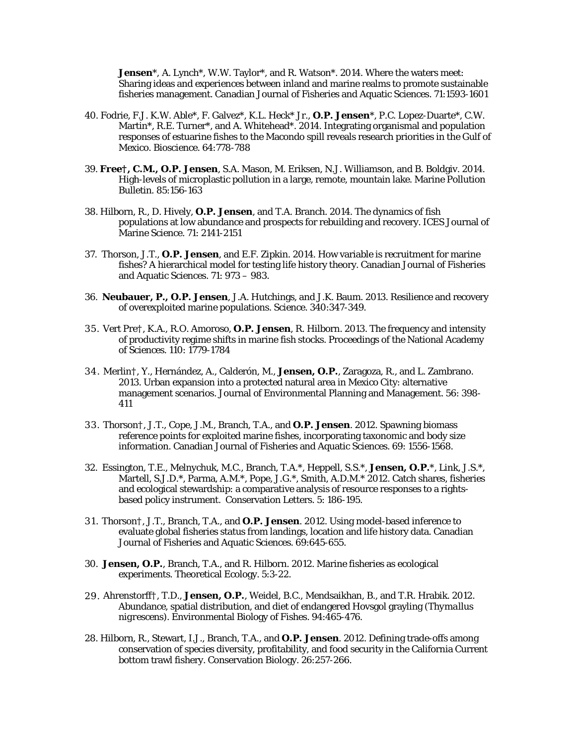**Jensen**\*, A. Lynch\*, W.W. Taylor\*, and R. Watson\*. 2014. Where the waters meet: Sharing ideas and experiences between inland and marine realms to promote sustainable fisheries management. Canadian Journal of Fisheries and Aquatic Sciences. 71:1593-1601

- 40. Fodrie, F.J. K.W. Able\*, F. Galvez\*, K.L. Heck\* Jr., **O.P. Jensen**\*, P.C. Lopez-Duarte\*, C.W. Martin\*, R.E. Turner\*, and A. Whitehead\*. 2014. Integrating organismal and population responses of estuarine fishes to the Macondo spill reveals research priorities in the Gulf of Mexico. Bioscience. 64:778-788
- 39. **Free†, C.M., O.P. Jensen**, S.A. Mason, M. Eriksen, N.J. Williamson, and B. Boldgiv. 2014. High-levels of microplastic pollution in a large, remote, mountain lake. Marine Pollution Bulletin. 85:156-163
- 38. Hilborn, R., D. Hively, **O.P. Jensen**, and T.A. Branch. 2014. The dynamics of fish populations at low abundance and prospects for rebuilding and recovery. ICES Journal of Marine Science. 71: 2141-2151
- 37. Thorson, J.T., **O.P. Jensen**, and E.F. Zipkin. 2014. How variable is recruitment for marine fishes? A hierarchical model for testing life history theory. Canadian Journal of Fisheries and Aquatic Sciences. 71: 973 – 983.
- 36. **Neubauer, P., O.P. Jensen**, J.A. Hutchings, and J.K. Baum. 2013. Resilience and recovery of overexploited marine populations. Science. 340:347-349.
- 35. Vert Pre†, K.A., R.O. Amoroso, **O.P. Jensen**, R. Hilborn. 2013. The frequency and intensity of productivity regime shifts in marine fish stocks. Proceedings of the National Academy of Sciences. 110: 1779-1784
- 34. Merlin†, Y., Hernández, A., Calderón, M., **Jensen, O.P.**, Zaragoza, R., and L. Zambrano. 2013. Urban expansion into a protected natural area in Mexico City: alternative management scenarios. Journal of Environmental Planning and Management. 56: 398- 411
- 33. Thorson†, J.T., Cope, J.M., Branch, T.A., and **O.P. Jensen**. 2012. Spawning biomass reference points for exploited marine fishes, incorporating taxonomic and body size information. Canadian Journal of Fisheries and Aquatic Sciences. 69: 1556-1568.
- 32. Essington, T.E., Melnychuk, M.C., Branch, T.A.\*, Heppell, S.S.\*, **Jensen, O.P.**\*, Link, J.S.\*, Martell, S.J.D.\*, Parma, A.M.\*, Pope, J.G.\*, Smith, A.D.M.\* 2012. Catch shares, fisheries and ecological stewardship: a comparative analysis of resource responses to a rightsbased policy instrument. Conservation Letters. 5: 186-195.
- 31. Thorson†, J.T., Branch, T.A., and **O.P. Jensen**. 2012. Using model-based inference to evaluate global fisheries status from landings, location and life history data. Canadian Journal of Fisheries and Aquatic Sciences. 69:645-655.
- 30. **Jensen, O.P.**, Branch, T.A., and R. Hilborn. 2012. Marine fisheries as ecological experiments. Theoretical Ecology. 5:3-22.
- 29. Ahrenstorff†, T.D., **Jensen, O.P.**, Weidel, B.C., Mendsaikhan, B., and T.R. Hrabik. 2012. Abundance, spatial distribution, and diet of endangered Hovsgol grayling (*Thymallus nigrescens*). Environmental Biology of Fishes. 94:465-476.
- 28. Hilborn, R., Stewart, I.J., Branch, T.A., and **O.P. Jensen**. 2012. Defining trade-offs among conservation of species diversity, profitability, and food security in the California Current bottom trawl fishery. Conservation Biology. 26:257-266.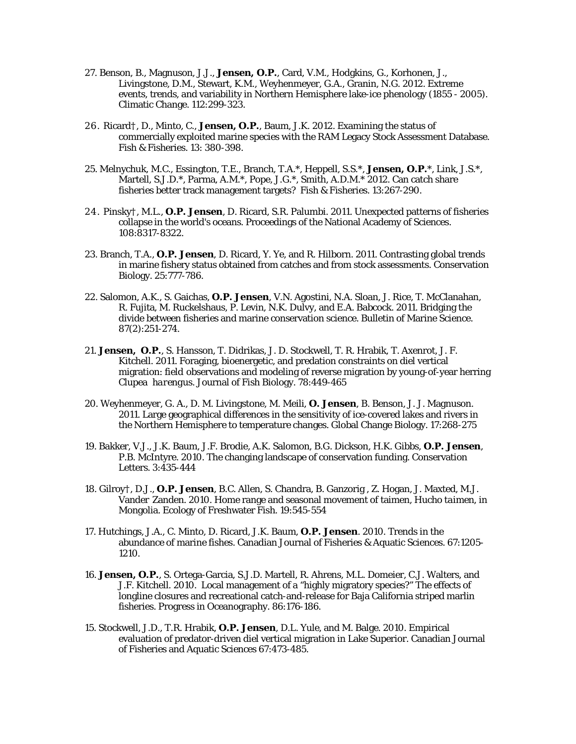- 27. Benson, B., Magnuson, J.J., **Jensen, O.P.**, Card, V.M., Hodgkins, G., Korhonen, J., Livingstone, D.M., Stewart, K.M., Weyhenmeyer, G.A., Granin, N.G. 2012. Extreme events, trends, and variability in Northern Hemisphere lake-ice phenology (1855 - 2005). Climatic Change. 112:299-323.
- 26. Ricard†, D., Minto, C., **Jensen, O.P.**, Baum, J.K. 2012. Examining the status of commercially exploited marine species with the RAM Legacy Stock Assessment Database. Fish & Fisheries. 13: 380-398.
- 25. Melnychuk, M.C., Essington, T.E., Branch, T.A.\*, Heppell, S.S.\*, **Jensen, O.P.**\*, Link, J.S.\*, Martell, S.J.D.\*, Parma, A.M.\*, Pope, J.G.\*, Smith, A.D.M.\* 2012. Can catch share fisheries better track management targets? Fish & Fisheries. 13:267-290.
- 24. Pinsky†, M.L., **O.P. Jensen**, D. Ricard, S.R. Palumbi. 2011. Unexpected patterns of fisheries collapse in the world's oceans. Proceedings of the National Academy of Sciences. 108:8317-8322.
- 23. Branch, T.A., **O.P. Jensen**, D. Ricard, Y. Ye, and R. Hilborn. 2011. Contrasting global trends in marine fishery status obtained from catches and from stock assessments. Conservation Biology. 25:777-786.
- 22. Salomon, A.K., S. Gaichas, **O.P. Jensen**, V.N. Agostini, N.A. Sloan, J. Rice, T. McClanahan, R. Fujita, M. Ruckelshaus, P. Levin, N.K. Dulvy, and E.A. Babcock. 2011. Bridging the divide between fisheries and marine conservation science. Bulletin of Marine Science. 87(2):251-274.
- 21. **Jensen, O.P.**, S. Hansson, T. Didrikas, J. D. Stockwell, T. R. Hrabik, T. Axenrot, J. F. Kitchell. 2011*.* Foraging, bioenergetic, and predation constraints on diel vertical migration: field observations and modeling of reverse migration by young-of-year herring *Clupea harengus*. Journal of Fish Biology. 78:449-465
- 20. Weyhenmeyer, G. A., D. M. Livingstone, M. Meili, **O. Jensen**, B. Benson, J. J. Magnuson. 2011. Large geographical differences in the sensitivity of ice-covered lakes and rivers in the Northern Hemisphere to temperature changes. Global Change Biology. 17:268-275
- 19. Bakker, V.J., J.K. Baum, J.F. Brodie, A.K. Salomon, B.G. Dickson, H.K. Gibbs, **O.P. Jensen**, P.B. McIntyre. 2010. The changing landscape of conservation funding. Conservation Letters. 3:435-444
- 18. Gilroy†, D.J., **O.P. Jensen**, B.C. Allen, S. Chandra, B. Ganzorig , Z. Hogan, J. Maxted, M.J. Vander Zanden. 2010. Home range and seasonal movement of taimen, *Hucho taimen*, in Mongolia. Ecology of Freshwater Fish. 19:545-554
- 17. Hutchings, J.A., C. Minto, D. Ricard, J.K. Baum, **O.P. Jensen**. 2010. Trends in the abundance of marine fishes. Canadian Journal of Fisheries & Aquatic Sciences. 67:1205- 1210.
- 16. **Jensen, O.P.**, S. Ortega-Garcia, S.J.D. Martell, R. Ahrens, M.L. Domeier, C.J. Walters, and J.F. Kitchell. 2010. Local management of a "highly migratory species?" The effects of longline closures and recreational catch-and-release for Baja California striped marlin fisheries. Progress in Oceanography. 86:176-186.
- 15. Stockwell, J.D., T.R. Hrabik, **O.P. Jensen**, D.L. Yule, and M. Balge. 2010. Empirical evaluation of predator-driven diel vertical migration in Lake Superior. Canadian Journal of Fisheries and Aquatic Sciences 67:473-485.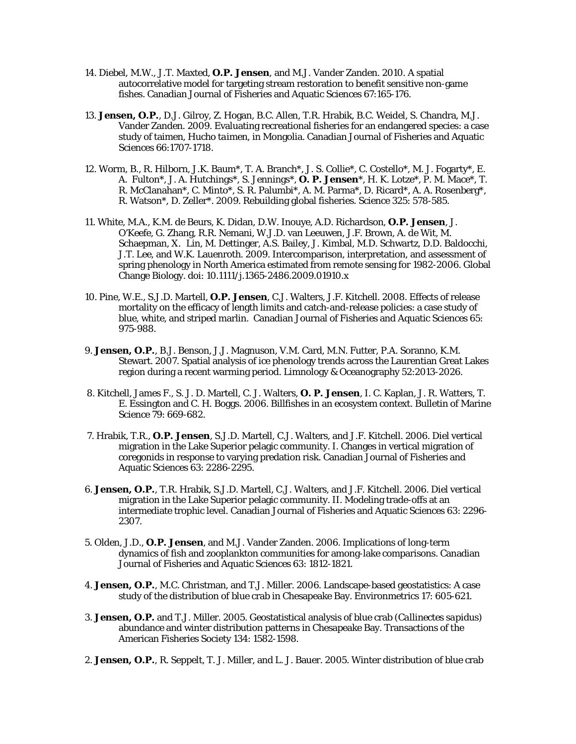- 14. Diebel, M.W., J.T. Maxted, **O.P. Jensen**, and M.J. Vander Zanden. 2010. A spatial autocorrelative model for targeting stream restoration to benefit sensitive non-game fishes. Canadian Journal of Fisheries and Aquatic Sciences 67:165-176.
- 13. **Jensen, O.P.**, D.J. Gilroy, Z. Hogan, B.C. Allen, T.R. Hrabik, B.C. Weidel, S. Chandra, M.J. Vander Zanden. 2009. Evaluating recreational fisheries for an endangered species: a case study of taimen, *Hucho taimen*, in Mongolia. Canadian Journal of Fisheries and Aquatic Sciences 66:1707-1718.
- 12. Worm, B., R. Hilborn, J.K. Baum\*, T. A. Branch\*, J. S. Collie\*, C. Costello\*, M. J. Fogarty\*, E. A. Fulton\*, J. A. Hutchings\*, S. Jennings\*, **O. P. Jensen**\*, H. K. Lotze\*, P. M. Mace\*, T. R. McClanahan\*, C. Minto\*, S. R. Palumbi\*, A. M. Parma\*, D. Ricard\*, A. A. Rosenberg\*, R. Watson\*, D. Zeller\*. 2009. Rebuilding global fisheries. Science 325: 578-585.
- 11. White, M.A., K.M. de Beurs, K. Didan, D.W. Inouye, A.D. Richardson, **O.P. Jensen**, J. O'Keefe, G. Zhang, R.R. Nemani, W.J.D. van Leeuwen, J.F. Brown, A. de Wit, M. Schaepman, X. Lin, M. Dettinger, A.S. Bailey, J. Kimbal, M.D. Schwartz, D.D. Baldocchi, J.T. Lee, and W.K. Lauenroth. 2009. Intercomparison, interpretation, and assessment of spring phenology in North America estimated from remote sensing for 1982-2006. Global Change Biology. doi: 10.1111/j.1365-2486.2009.01910.x
- 10. Pine, W.E., S.J.D. Martell, **O.P. Jensen**, C.J. Walters, J.F. Kitchell. 2008. Effects of release mortality on the efficacy of length limits and catch-and-release policies: a case study of blue, white, and striped marlin. Canadian Journal of Fisheries and Aquatic Sciences 65: 975-988.
- 9. **Jensen, O.P.**, B.J. Benson, J.J. Magnuson, V.M. Card, M.N. Futter, P.A. Soranno, K.M. Stewart. 2007. Spatial analysis of ice phenology trends across the Laurentian Great Lakes region during a recent warming period. Limnology & Oceanography 52:2013-2026.
- 8. Kitchell, James F., S. J. D. Martell, C. J. Walters, **O. P. Jensen**, I. C. Kaplan, J. R. Watters, T. E. Essington and C. H. Boggs. 2006. Billfishes in an ecosystem context. Bulletin of Marine Science 79: 669-682.
- 7. Hrabik, T.R., **O.P. Jensen**, S.J.D. Martell, C.J. Walters, and J.F. Kitchell. 2006. Diel vertical migration in the Lake Superior pelagic community. I. Changes in vertical migration of coregonids in response to varying predation risk. Canadian Journal of Fisheries and Aquatic Sciences 63: 2286-2295.
- 6. **Jensen, O.P.**, T.R. Hrabik, S.J.D. Martell, C.J. Walters, and J.F. Kitchell. 2006. Diel vertical migration in the Lake Superior pelagic community. II. Modeling trade-offs at an intermediate trophic level. Canadian Journal of Fisheries and Aquatic Sciences 63: 2296- 2307.
- 5. Olden, J.D., **O.P. Jensen**, and M.J. Vander Zanden. 2006. Implications of long-term dynamics of fish and zooplankton communities for among-lake comparisons. Canadian Journal of Fisheries and Aquatic Sciences 63: 1812-1821.
- 4. **Jensen, O.P.**, M.C. Christman, and T.J. Miller. 2006. Landscape-based geostatistics: A case study of the distribution of blue crab in Chesapeake Bay. Environmetrics 17: 605-621.
- 3. **Jensen, O.P.** and T.J. Miller. 2005. Geostatistical analysis of blue crab (*Callinectes sapidus*) abundance and winter distribution patterns in Chesapeake Bay. Transactions of the American Fisheries Society 134: 1582-1598.
- 2. **Jensen, O.P.**, R. Seppelt, T. J. Miller, and L. J. Bauer. 2005. Winter distribution of blue crab